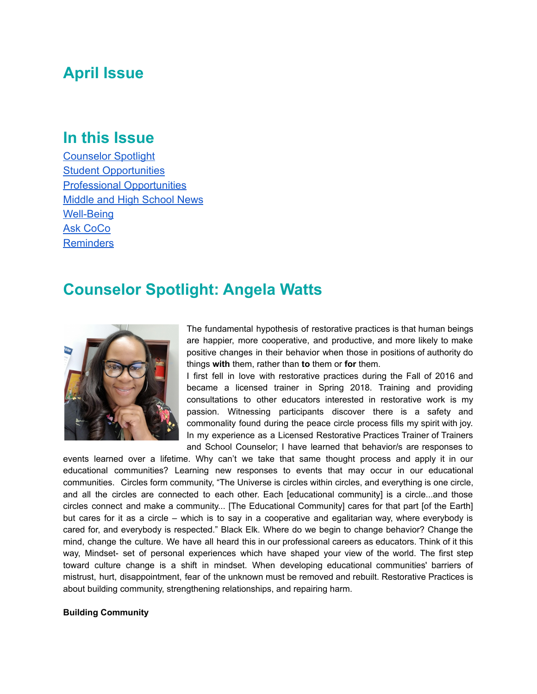## **April Issue**

### **In this Issue**

[Counselor Spotlight](#page-0-0) [Student Opportunities](#page-2-0) [Professional Opportunities](#page-2-1) [Middle and High School News](#page-3-0) [Well-Being](#page-4-0) [Ask CoCo](#page-5-0) **[Reminders](#page-5-1)** 

## <span id="page-0-0"></span>**Counselor Spotlight: Angela Watts**



The fundamental hypothesis of restorative practices is that human beings are happier, more cooperative, and productive, and more likely to make positive changes in their behavior when those in positions of authority do things **with** them, rather than **to** them or **for** them.

I first fell in love with restorative practices during the Fall of 2016 and became a licensed trainer in Spring 2018. Training and providing consultations to other educators interested in restorative work is my passion. Witnessing participants discover there is a safety and commonality found during the peace circle process fills my spirit with joy. In my experience as a Licensed Restorative Practices Trainer of Trainers and School Counselor; I have learned that behavior/s are responses to

events learned over a lifetime. Why can't we take that same thought process and apply it in our educational communities? Learning new responses to events that may occur in our educational communities. Circles form community, "The Universe is circles within circles, and everything is one circle, and all the circles are connected to each other. Each [educational community] is a circle...and those circles connect and make a community... [The Educational Community] cares for that part [of the Earth] but cares for it as a circle – which is to say in a cooperative and egalitarian way, where everybody is cared for, and everybody is respected." Black Elk. Where do we begin to change behavior? Change the mind, change the culture. We have all heard this in our professional careers as educators. Think of it this way, Mindset- set of personal experiences which have shaped your view of the world. The first step toward culture change is a shift in mindset. When developing educational communities' barriers of mistrust, hurt, disappointment, fear of the unknown must be removed and rebuilt. Restorative Practices is about building community, strengthening relationships, and repairing harm.

#### **Building Community**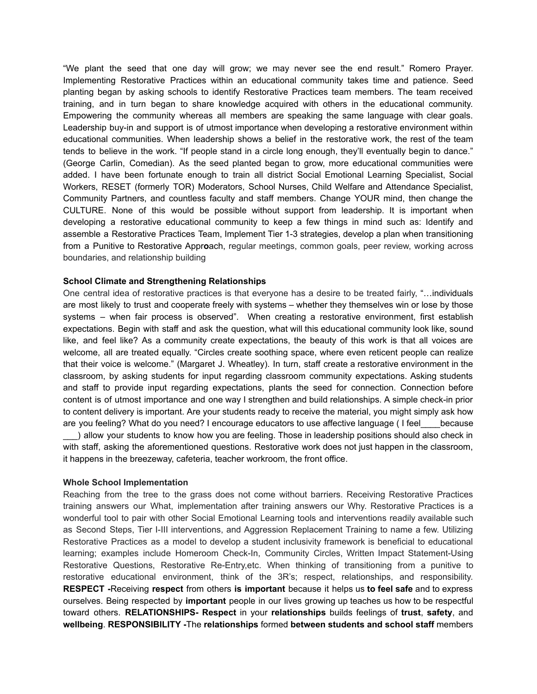"We plant the seed that one day will grow; we may never see the end result." Romero Prayer. Implementing Restorative Practices within an educational community takes time and patience. Seed planting began by asking schools to identify Restorative Practices team members. The team received training, and in turn began to share knowledge acquired with others in the educational community. Empowering the community whereas all members are speaking the same language with clear goals. Leadership buy-in and support is of utmost importance when developing a restorative environment within educational communities. When leadership shows a belief in the restorative work, the rest of the team tends to believe in the work. "If people stand in a circle long enough, they'll eventually begin to dance." (George Carlin, Comedian). As the seed planted began to grow, more educational communities were added. I have been fortunate enough to train all district Social Emotional Learning Specialist, Social Workers, RESET (formerly TOR) Moderators, School Nurses, Child Welfare and Attendance Specialist, Community Partners, and countless faculty and staff members. Change YOUR mind, then change the CULTURE. None of this would be possible without support from leadership. It is important when developing a restorative educational community to keep a few things in mind such as: Identify and assemble a Restorative Practices Team, Implement Tier 1-3 strategies, develop a plan when transitioning from a Punitive to Restorative Appr**o**ach, regular meetings, common goals, peer review, working across boundaries, and relationship building

#### **School Climate and Strengthening Relationships**

One central idea of restorative practices is that everyone has a desire to be treated fairly, "…individuals are most likely to trust and cooperate freely with systems – whether they themselves win or lose by those systems – when fair process is observed". When creating a restorative environment, first establish expectations. Begin with staff and ask the question, what will this educational community look like, sound like, and feel like? As a community create expectations, the beauty of this work is that all voices are welcome, all are treated equally. "Circles create soothing space, where even reticent people can realize that their voice is welcome." (Margaret J. Wheatley). In turn, staff create a restorative environment in the classroom, by asking students for input regarding classroom community expectations. Asking students and staff to provide input regarding expectations, plants the seed for connection. Connection before content is of utmost importance and one way I strengthen and build relationships. A simple check-in prior to content delivery is important. Are your students ready to receive the material, you might simply ask how are you feeling? What do you need? I encourage educators to use affective language (I feel\_\_\_\_because ) allow your students to know how you are feeling. Those in leadership positions should also check in with staff, asking the aforementioned questions. Restorative work does not just happen in the classroom, it happens in the breezeway, cafeteria, teacher workroom, the front office.

#### **Whole School Implementation**

Reaching from the tree to the grass does not come without barriers. Receiving Restorative Practices training answers our What, implementation after training answers our Why. Restorative Practices is a wonderful tool to pair with other Social Emotional Learning tools and interventions readily available such as Second Steps, Tier I-III interventions, and Aggression Replacement Training to name a few. Utilizing Restorative Practices as a model to develop a student inclusivity framework is beneficial to educational learning; examples include Homeroom Check-In, Community Circles, Written Impact Statement-Using Restorative Questions, Restorative Re-Entry,etc. When thinking of transitioning from a punitive to restorative educational environment, think of the 3R's; respect, relationships, and responsibility. **RESPECT -**Receiving **respect** from others **is important** because it helps us **to feel safe** and to express ourselves. Being respected by **important** people in our lives growing up teaches us how to be respectful toward others. **RELATIONSHIPS- Respect** in your **relationships** builds feelings of **trust**, **safety**, and **wellbeing**. **RESPONSIBILITY -**The **relationships** formed **between students and school staff** members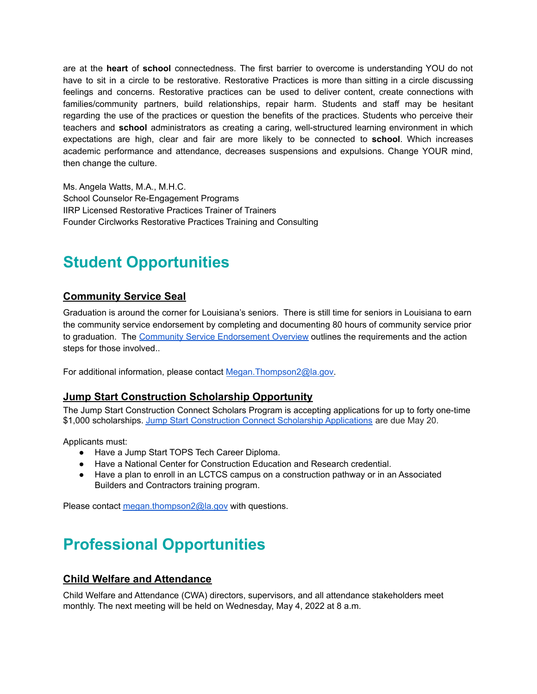are at the **heart** of **school** connectedness. The first barrier to overcome is understanding YOU do not have to sit in a circle to be restorative. Restorative Practices is more than sitting in a circle discussing feelings and concerns. Restorative practices can be used to deliver content, create connections with families/community partners, build relationships, repair harm. Students and staff may be hesitant regarding the use of the practices or question the benefits of the practices. Students who perceive their teachers and **school** administrators as creating a caring, well-structured learning environment in which expectations are high, clear and fair are more likely to be connected to **school**. Which increases academic performance and attendance, decreases suspensions and expulsions. Change YOUR mind, then change the culture.

Ms. Angela Watts, M.A., M.H.C. School Counselor Re-Engagement Programs IIRP Licensed Restorative Practices Trainer of Trainers Founder Circlworks Restorative Practices Training and Consulting

# <span id="page-2-0"></span>**Student Opportunities**

### **Community Service Seal**

Graduation is around the corner for Louisiana's seniors. There is still time for seniors in Louisiana to earn the community service endorsement by completing and documenting 80 hours of community service prior to graduation. The Community Service [Endorsement](https://www.louisianabelieves.com/docs/default-source/counselor-toolbox-resources/community-service-endorsement.pdf?sfvrsn=e9dc6718_2) Overview outlines the requirements and the action steps for those involved..

For additional information, please contact [Megan.Thompson2@la.gov.](mailto:Megan.Thompson2@la.gov)

#### **Jump Start Construction Scholarship Opportunity**

The Jump Start Construction Connect Scholars Program is accepting applications for up to forty one-time \$1,000 scholarships. Jump Start [Construction](https://www.louisianabelieves.com/docs/default-source/jumpstart/jump-start-construction-connect-scholars-application-2020-2021.pdf) Connect Scholarship Applications are due May 20.

Applicants must:

- Have a Jump Start TOPS Tech Career Diploma.
- Have a National Center for Construction Education and Research credential.
- Have a plan to enroll in an LCTCS campus on a construction pathway or in an Associated Builders and Contractors training program.

Please contact [megan.thompson2@la.gov](mailto:megan.thompson2@la.gov) with questions.

# <span id="page-2-1"></span>**Professional Opportunities**

#### **Child Welfare and Attendance**

Child Welfare and Attendance (CWA) directors, supervisors, and all attendance stakeholders meet monthly. The next meeting will be held on Wednesday, May 4, 2022 at 8 a.m.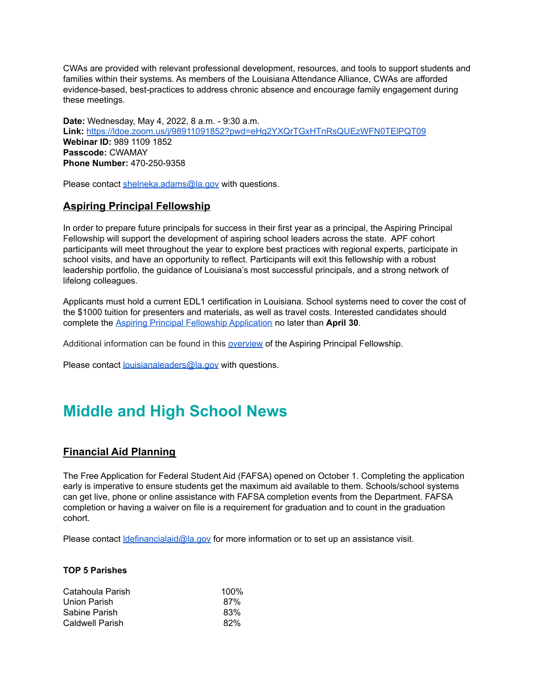CWAs are provided with relevant professional development, resources, and tools to support students and families within their systems. As members of the Louisiana Attendance Alliance, CWAs are afforded evidence-based, best-practices to address chronic absence and encourage family engagement during these meetings.

**Date:** Wednesday, May 4, 2022, 8 a.m. - 9:30 a.m. **Link:** <https://ldoe.zoom.us/j/98911091852?pwd=eHg2YXQrTGxHTnRsQUEzWFN0TElPQT09> **Webinar ID:** 989 1109 1852 **Passcode:** CWAMAY **Phone Number:** 470-250-9358

Please contact [shelneka.adams@la.gov](mailto:shelneka.adams@la.gov) with questions.

#### **Aspiring Principal Fellowship**

In order to prepare future principals for success in their first year as a principal, the Aspiring Principal Fellowship will support the development of aspiring school leaders across the state. APF cohort participants will meet throughout the year to explore best practices with regional experts, participate in school visits, and have an opportunity to reflect. Participants will exit this fellowship with a robust leadership portfolio, the guidance of Louisiana's most successful principals, and a strong network of lifelong colleagues.

Applicants must hold a current EDL1 certification in Louisiana. School systems need to cover the cost of the \$1000 tuition for presenters and materials, as well as travel costs. Interested candidates should complete the Aspiring Principal Fellowship [Application](https://form.jotform.com/220616500204035) no later than **April 30**.

Additional information can be found in this [overview](https://www.louisianabelieves.com/docs/default-source/teaching/aspiring-principal-fellowship-1-pager-2022-2023.pdf) of the Aspiring Principal Fellowship.

Please contact **[louisianaleaders@la.gov](mailto:louisianaleaders@la.gov)** with questions.

## <span id="page-3-0"></span>**Middle and High School News**

### **Financial Aid Planning**

The Free Application for Federal Student Aid (FAFSA) opened on October 1. Completing the application early is imperative to ensure students get the maximum aid available to them. Schools/school systems can get live, phone or online assistance with FAFSA completion events from the Department. FAFSA completion or having a waiver on file is a requirement for graduation and to count in the graduation cohort.

Please contact *definancialaid@la.gov* for more information or to set up an assistance visit.

#### **TOP 5 Parishes**

| Catahoula Parish       | $100\%$ |
|------------------------|---------|
| Union Parish           | 87%     |
| Sabine Parish          | 83%     |
| <b>Caldwell Parish</b> | 82%     |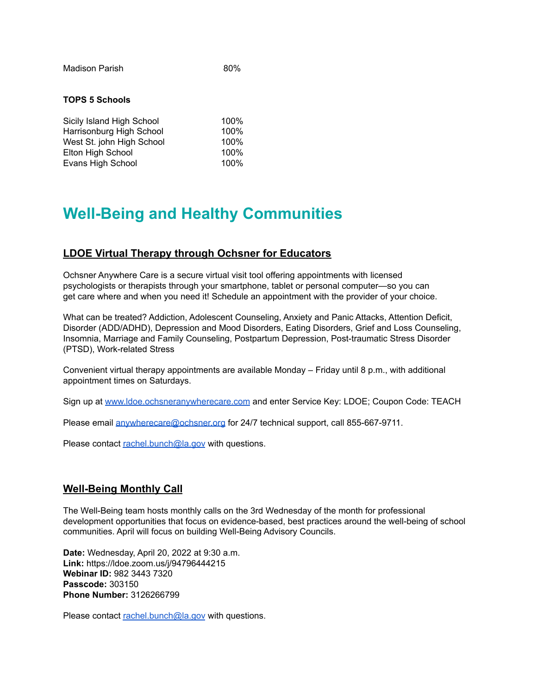Madison Parish 80%

#### **TOPS 5 Schools**

| Sicily Island High School | 100% |
|---------------------------|------|
| Harrisonburg High School  | 100% |
| West St. john High School | 100% |
| Elton High School         | 100% |
| Evans High School         | 100% |

## <span id="page-4-0"></span>**Well-Being and Healthy Communities**

#### **LDOE Virtual Therapy through Ochsner for Educators**

Ochsner Anywhere Care is a secure virtual visit tool offering appointments with licensed psychologists or therapists through your smartphone, tablet or personal computer—so you can get care where and when you need it! Schedule an appointment with the provider of your choice.

What can be treated? Addiction, Adolescent Counseling, Anxiety and Panic Attacks, Attention Deficit, Disorder (ADD/ADHD), Depression and Mood Disorders, Eating Disorders, Grief and Loss Counseling, Insomnia, Marriage and Family Counseling, Postpartum Depression, Post-traumatic Stress Disorder (PTSD), Work-related Stress

Convenient virtual therapy appointments are available Monday – Friday until 8 p.m., with additional appointment times on Saturdays.

Sign up at [www.ldoe.ochsneranywherecare.com](http://www.ldoe.ochsneranywherecare.com) and enter Service Key: LDOE; Coupon Code: TEACH

Please email [anywherecare@ochsner.org](mailto:anywherecare@ochsner.org) for 24/7 technical support, call 855-667-9711.

Please contact [rachel.bunch@la.gov](mailto:rachel.bunch@la.gov) with questions.

### **Well-Being Monthly Call**

The Well-Being team hosts monthly calls on the 3rd Wednesday of the month for professional development opportunities that focus on evidence-based, best practices around the well-being of school communities. April will focus on building Well-Being Advisory Councils.

**Date:** Wednesday, April 20, 2022 at 9:30 a.m. **Link:** https://ldoe.zoom.us/j/94796444215 **Webinar ID:** 982 3443 7320 **Passcode:** 303150 **Phone Number:** 3126266799

Please contact [rachel.bunch@la.gov](mailto:rachel.bunch@la.gov) with questions.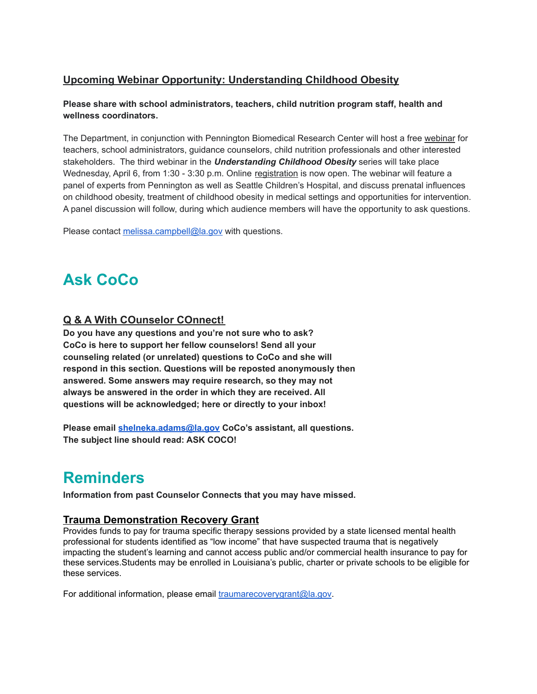### **Upcoming Webinar Opportunity: Understanding Childhood Obesity**

#### **Please share with school administrators, teachers, child nutrition program staff, health and wellness coordinators.**

The Department, in conjunction with Pennington Biomedical Research Center will host a free [webinar](https://cdnlfk.pbrc.edu/pdfs/home/LA_Fit_Kids_Webinar_Agenda-3.10.22.pdf) for teachers, school administrators, guidance counselors, child nutrition professionals and other interested stakeholders. The third webinar in the *Understanding Childhood Obesity* series will take place Wednesday, April 6, from 1:30 - 3:30 p.m. Online [registration](https://pbrcsurveys.pbrc.edu/index.php/933941?lang=en) is now open. The webinar will feature a panel of experts from Pennington as well as Seattle Children's Hospital, and discuss prenatal influences on childhood obesity, treatment of childhood obesity in medical settings and opportunities for intervention. A panel discussion will follow, during which audience members will have the opportunity to ask questions.

Please contact [melissa.campbell@la.gov](mailto:melissa.campbell@la.gov) with questions.

# <span id="page-5-0"></span>**Ask CoCo**

### **Q & A With COunselor COnnect!**

**Do you have any questions and you're not sure who to ask? CoCo is here to support her fellow counselors! Send all your counseling related (or unrelated) questions to CoCo and she will respond in this section. Questions will be reposted anonymously then answered. Some answers may require research, so they may not always be answered in the order in which they are received. All questions will be acknowledged; here or directly to your inbox!**

**Please email [shelneka.adams@la.gov](mailto:shelneka.adams@la.gov) CoCo's assistant, all questions. The subject line should read: ASK COCO!**

## <span id="page-5-1"></span>**Reminders**

**Information from past Counselor Connects that you may have missed.**

#### **Trauma Demonstration Recovery Grant**

Provides funds to pay for trauma specific therapy sessions provided by a state licensed mental health professional for students identified as "low income" that have suspected trauma that is negatively impacting the student's learning and cannot access public and/or commercial health insurance to pay for these services.Students may be enrolled in Louisiana's public, charter or private schools to be eligible for these services.

For additional information, please email [traumarecoverygrant@la.gov](mailto:traumarecoverygrant@la.gov).